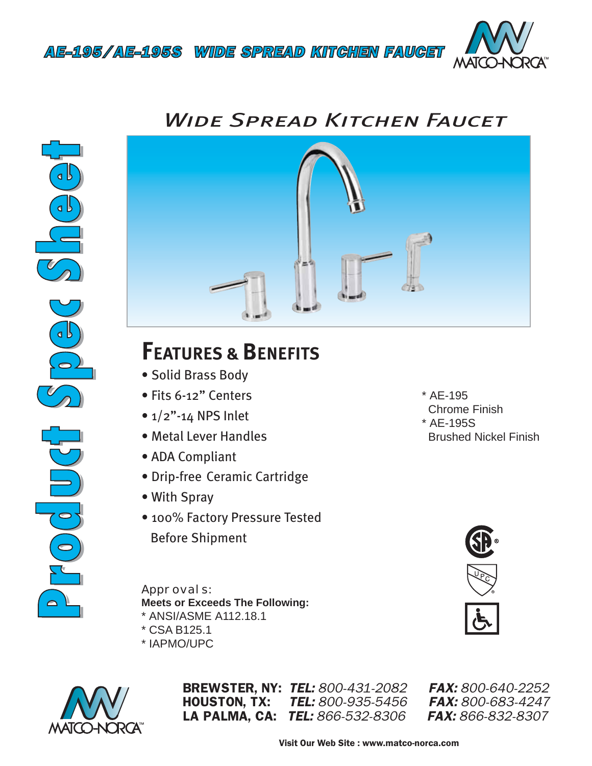

## *Wide Spread Kitchen Faucet*





## **FEATURES & BENEFITS**

- Solid Brass Body
- Fits 6-12" Centers
- $\bullet$  1/2"-14 NPS Inlet
- Metal Lever Handles
- ADA Compliant
- Drip-free Ceramic Cartridge
- With Spray
- 100% Factory Pressure Tested Before Shipment

*Approvals:* **Meets or Exceeds The Following:** \* ANSI/ASME A112.18.1

- \* CSA B125.1
- \* IAPMO/UPC



BREWSTER, NY: *TEL: 800-431-2082 FAX: 800-640-2252* HOUSTON, TX: *TEL: 800-935-5456 FAX: 800-683-4247* LA PALMA, CA: *TEL: 866-532-8306 FAX: 866-832-8307*



\* AE-195

\* AE-195S

Chrome Finish

Brushed Nickel Finish